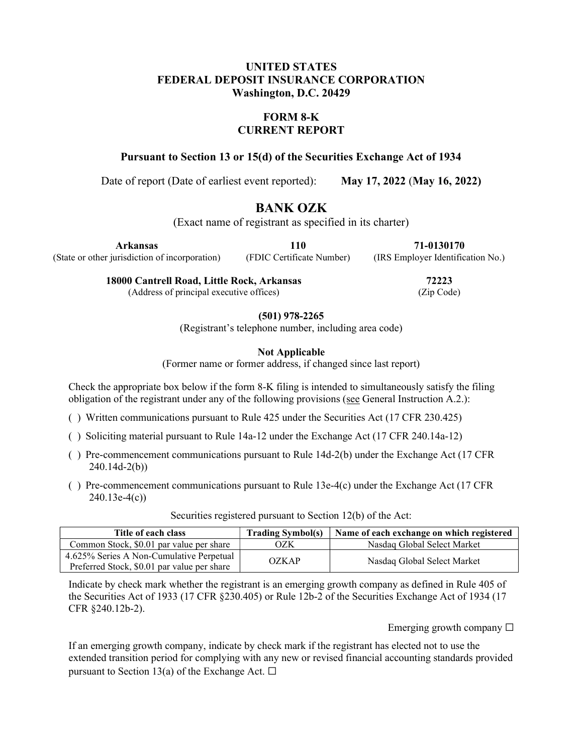### UNITED STATES FEDERAL DEPOSIT INSURANCE CORPORATION Washington, D.C. 20429

### FORM 8-K CURRENT REPORT

Pursuant to Section 13 or 15(d) of the Securities Exchange Act of 1934

Date of report (Date of earliest event reported): May 17, 2022 (May 16, 2022)

# BANK OZK

(Exact name of registrant as specified in its charter)

Arkansas

110

71-0130170 (IRS Employer Identification No.)

(State or other jurisdiction of incorporation)

(FDIC Certificate Number)

72223

18000 Cantrell Road, Little Rock, Arkansas (Address of principal executive offices)

(Zip Code)

(501) 978-2265

(Registrant's telephone number, including area code)

Not Applicable

(Former name or former address, if changed since last report)

Check the appropriate box below if the form 8-K filing is intended to simultaneously satisfy the filing obligation of the registrant under any of the following provisions (see General Instruction A.2.):

- ( ) Written communications pursuant to Rule 425 under the Securities Act (17 CFR 230.425)
- ( ) Soliciting material pursuant to Rule 14a-12 under the Exchange Act (17 CFR 240.14a-12)
- ( ) Pre-commencement communications pursuant to Rule 14d-2(b) under the Exchange Act (17 CFR 240.14d-2(b))
- ( ) Pre-commencement communications pursuant to Rule 13e-4(c) under the Exchange Act (17 CFR 240.13e-4(c))

| Title of each class                                                                     | <b>Trading Symbol(s)</b> | Name of each exchange on which registered |
|-----------------------------------------------------------------------------------------|--------------------------|-------------------------------------------|
| Common Stock, \$0.01 par value per share                                                | OZK                      | Nasdag Global Select Market               |
| 4.625% Series A Non-Cumulative Perpetual<br>Preferred Stock, \$0.01 par value per share | OZKAP                    | Nasdaq Global Select Market               |

Securities registered pursuant to Section 12(b) of the Act:

Indicate by check mark whether the registrant is an emerging growth company as defined in Rule 405 of the Securities Act of 1933 (17 CFR §230.405) or Rule 12b-2 of the Securities Exchange Act of 1934 (17 CFR §240.12b-2).

Emerging growth company  $\Box$ 

If an emerging growth company, indicate by check mark if the registrant has elected not to use the extended transition period for complying with any new or revised financial accounting standards provided pursuant to Section 13(a) of the Exchange Act.  $\Box$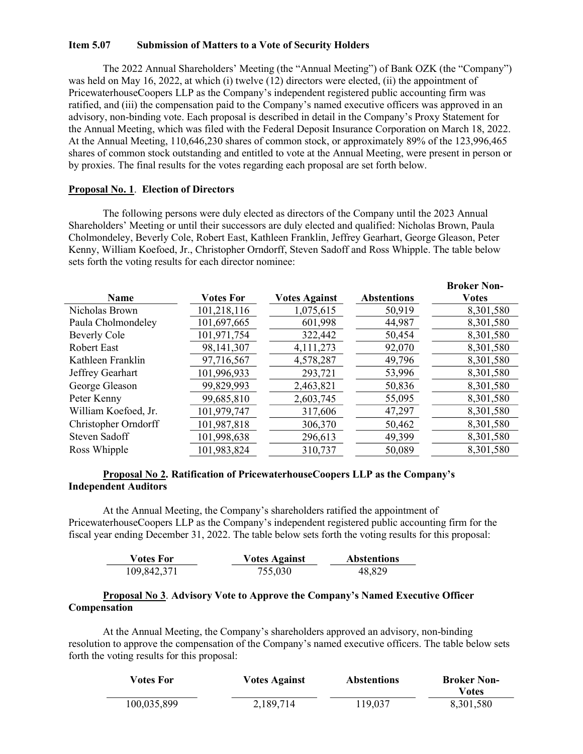#### Item 5.07 Submission of Matters to a Vote of Security Holders

The 2022 Annual Shareholders' Meeting (the "Annual Meeting") of Bank OZK (the "Company") was held on May 16, 2022, at which (i) twelve (12) directors were elected, (ii) the appointment of PricewaterhouseCoopers LLP as the Company's independent registered public accounting firm was ratified, and (iii) the compensation paid to the Company's named executive officers was approved in an advisory, non-binding vote. Each proposal is described in detail in the Company's Proxy Statement for the Annual Meeting, which was filed with the Federal Deposit Insurance Corporation on March 18, 2022. At the Annual Meeting, 110,646,230 shares of common stock, or approximately 89% of the 123,996,465 shares of common stock outstanding and entitled to vote at the Annual Meeting, were present in person or by proxies. The final results for the votes regarding each proposal are set forth below.

#### Proposal No. 1. Election of Directors

The following persons were duly elected as directors of the Company until the 2023 Annual Shareholders' Meeting or until their successors are duly elected and qualified: Nicholas Brown, Paula Cholmondeley, Beverly Cole, Robert East, Kathleen Franklin, Jeffrey Gearhart, George Gleason, Peter Kenny, William Koefoed, Jr., Christopher Orndorff, Steven Sadoff and Ross Whipple. The table below sets forth the voting results for each director nominee:

| <b>Name</b>          | <b>Votes For</b> | <b>Votes Against</b> | <b>Abstentions</b> | <b>Broker Non-</b><br><b>Votes</b> |
|----------------------|------------------|----------------------|--------------------|------------------------------------|
| Nicholas Brown       | 101,218,116      | 1,075,615            | 50,919             | 8,301,580                          |
| Paula Cholmondeley   | 101,697,665      | 601,998              | 44,987             | 8,301,580                          |
| <b>Beverly Cole</b>  | 101,971,754      | 322,442              | 50,454             | 8,301,580                          |
| <b>Robert East</b>   | 98,141,307       | 4, 111, 273          | 92,070             | 8,301,580                          |
| Kathleen Franklin    | 97,716,567       | 4,578,287            | 49,796             | 8,301,580                          |
| Jeffrey Gearhart     | 101,996,933      | 293,721              | 53,996             | 8,301,580                          |
| George Gleason       | 99,829,993       | 2,463,821            | 50,836             | 8,301,580                          |
| Peter Kenny          | 99,685,810       | 2,603,745            | 55,095             | 8,301,580                          |
| William Koefoed, Jr. | 101,979,747      | 317,606              | 47,297             | 8,301,580                          |
| Christopher Orndorff | 101,987,818      | 306,370              | 50,462             | 8,301,580                          |
| Steven Sadoff        | 101,998,638      | 296,613              | 49,399             | 8,301,580                          |
| Ross Whipple         | 101,983,824      | 310,737              | 50,089             | 8,301,580                          |

#### Proposal No 2. Ratification of PricewaterhouseCoopers LLP as the Company's Independent Auditors

At the Annual Meeting, the Company's shareholders ratified the appointment of PricewaterhouseCoopers LLP as the Company's independent registered public accounting firm for the fiscal year ending December 31, 2022. The table below sets forth the voting results for this proposal:

| <b>Votes For</b> | <b>Votes Against</b> | <b>Abstentions</b> |
|------------------|----------------------|--------------------|
| 109,842,371      | 755,030              | 48,829             |

#### Proposal No 3. Advisory Vote to Approve the Company's Named Executive Officer Compensation

At the Annual Meeting, the Company's shareholders approved an advisory, non-binding resolution to approve the compensation of the Company's named executive officers. The table below sets forth the voting results for this proposal:

| <b>Votes For</b> | <b>Votes Against</b> | <b>Abstentions</b> | <b>Broker Non-</b><br>Votes |
|------------------|----------------------|--------------------|-----------------------------|
| 100,035,899      | 2,189,714            | 119,037            | 8,301,580                   |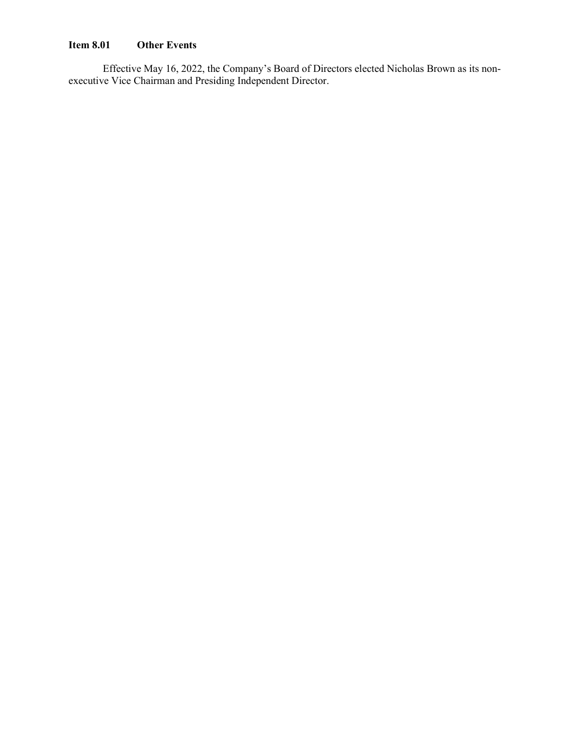## Item 8.01 Other Events

Effective May 16, 2022, the Company's Board of Directors elected Nicholas Brown as its nonexecutive Vice Chairman and Presiding Independent Director.